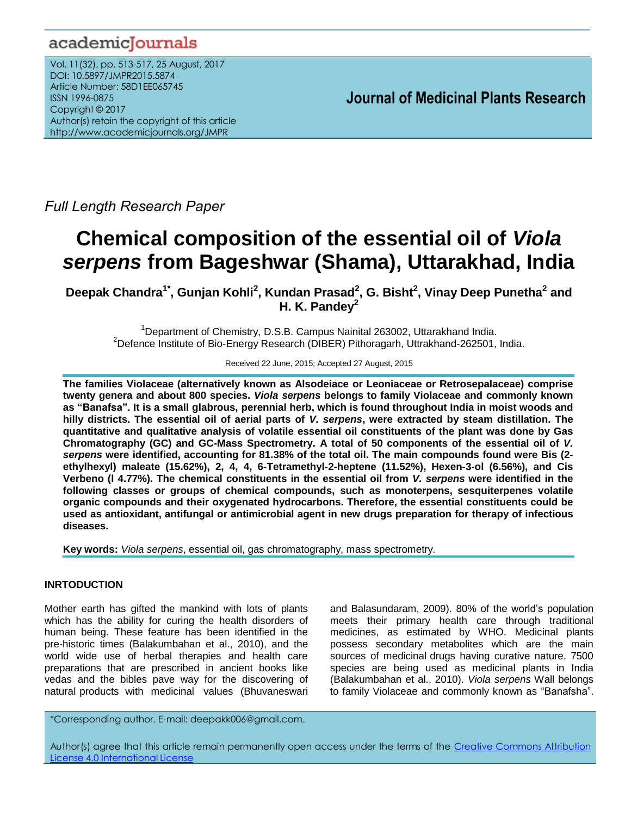## academicJournals

Vol. 11(32), pp. 513-517, 25 August, 2017 DOI: 10.5897/JMPR2015.5874 Article Number: 58D1EE065745 ISSN 1996-0875 Copyright © 2017 Author(s) retain the copyright of this article http://www.academicjournals.org/JMPR

 **Journal of Medicinal Plants Research**

*Full Length Research Paper*

# **Chemical composition of the essential oil of** *Viola serpens* **from Bageshwar (Shama), Uttarakhad, India**

**Deepak Chandra1\* , Gunjan Kohli<sup>2</sup> , Kundan Prasad<sup>2</sup> , G. Bisht<sup>2</sup> , Vinay Deep Punetha<sup>2</sup> and H. K. Pandey<sup>2</sup>**

<sup>1</sup>Department of Chemistry, D.S.B. Campus Nainital 263002, Uttarakhand India. <sup>2</sup>Defence Institute of Bio-Energy Research (DIBER) Pithoragarh, Uttrakhand-262501, India.

Received 22 June, 2015; Accepted 27 August, 2015

**The families Violaceae (alternatively known as Alsodeiace or Leoniaceae or Retrosepalaceae) comprise twenty genera and about 800 species.** *Viola serpens* **belongs to family Violaceae and commonly known as "Banafsa". It is a small glabrous, perennial herb, which is found throughout India in moist woods and** hilly districts. The essential oil of aerial parts of V. serpens, were extracted by steam distillation. The **quantitative and qualitative analysis of volatile essential oil constituents of the plant was done by Gas Chromatography (GC) and GC-Mass Spectrometry. A total of 50 components of the essential oil of** *V. serpens* **were identified, accounting for 81.38% of the total oil. The main compounds found were Bis (2 ethylhexyl) maleate (15.62%), 2, 4, 4, 6-Tetramethyl-2-heptene (11.52%), Hexen-3-ol (6.56%), and Cis Verbeno (l 4.77%). The chemical constituents in the essential oil from** *V. serpens* **were identified in the following classes or groups of chemical compounds, such as monoterpens, sesquiterpenes volatile organic compounds and their oxygenated hydrocarbons. Therefore, the essential constituents could be used as antioxidant, antifungal or antimicrobial agent in new drugs preparation for therapy of infectious diseases.**

**Key words:** *Viola serpens*, essential oil, gas chromatography, mass spectrometry.

### **INRTODUCTION**

Mother earth has gifted the mankind with lots of plants which has the ability for curing the health disorders of human being. These feature has been identified in the pre-historic times (Balakumbahan et al., 2010), and the world wide use of herbal therapies and health care preparations that are prescribed in ancient books like vedas and the bibles pave way for the discovering of natural products with medicinal values (Bhuvaneswari and Balasundaram, 2009). 80% of the world's population meets their primary health care through traditional medicines, as estimated by WHO. Medicinal plants possess secondary metabolites which are the main sources of medicinal drugs having curative nature. 7500 species are being used as medicinal plants in India (Balakumbahan et al., 2010). *Viola serpens* Wall belongs to family Violaceae and commonly known as "Banafsha".

\*Corresponding author. E-mail: deepakk006@gmail.com.

Author(s) agree that this article remain permanently open access under the terms of the Creative Commons Attribution License 4.0 [International](http://creativecommons.org/licenses/by/4.0/deed.en_US) License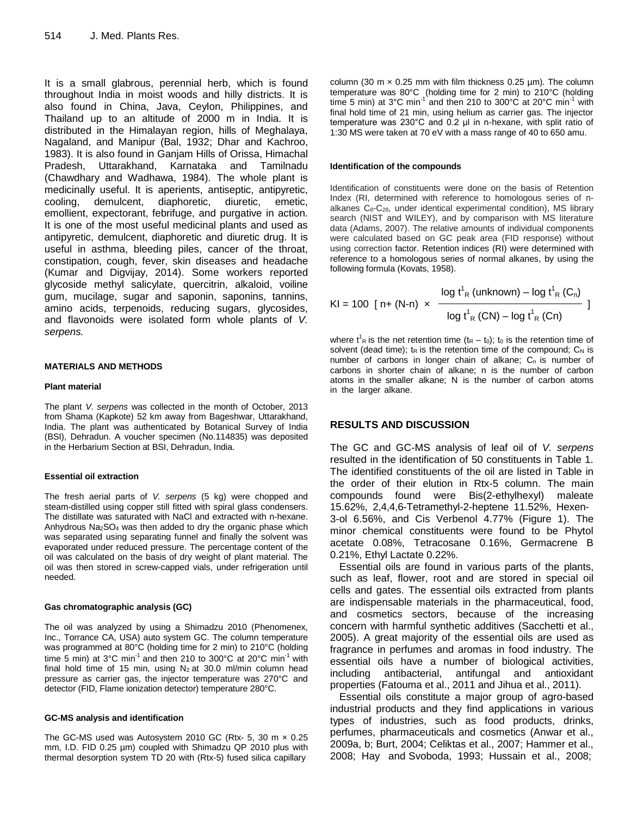It is a small glabrous, perennial herb, which is found throughout India in moist woods and hilly districts. It is also found in China, Java, Ceylon, Philippines, and Thailand up to an altitude of 2000 m in India. It is distributed in the Himalayan region, hills of Meghalaya, Nagaland, and Manipur (Bal, 1932; Dhar and Kachroo, 1983). It is also found in Ganjam Hills of Orissa, Himachal Pradesh, Uttarakhand, Karnataka and Tamilnadu (Chawdhary and Wadhawa, 1984). The whole plant is medicinally useful. It is aperients, antiseptic, antipyretic, cooling, demulcent, diaphoretic, diuretic, emetic, emollient, expectorant, febrifuge, and purgative in action. It is one of the most useful medicinal plants and used as antipyretic, demulcent, diaphoretic and diuretic drug. It is useful in asthma, bleeding piles, cancer of the throat, constipation, cough, fever, skin diseases and headache (Kumar and Digvijay, 2014). Some workers reported glycoside methyl salicylate, quercitrin, alkaloid, voiline gum, mucilage, sugar and saponin, saponins, tannins, amino acids, terpenoids, reducing sugars, glycosides, and flavonoids were isolated form whole plants of *V. serpens.*

#### **MATERIALS AND METHODS**

#### **Plant material**

The plant *V. serpens* was collected in the month of October, 2013 from Shama (Kapkote) 52 km away from Bageshwar, Uttarakhand, India. The plant was authenticated by Botanical Survey of India (BSI), Dehradun. A voucher specimen (No.114835) was deposited in the Herbarium Section at BSI, Dehradun, India.

#### **Essential oil extraction**

The fresh aerial parts of *V. serpens* (5 kg) were chopped and steam-distilled using copper still fitted with spiral glass condensers. The distillate was saturated with NaCl and extracted with n-hexane. Anhydrous Na2SO<sup>4</sup> was then added to dry the organic phase which was separated using separating funnel and finally the solvent was evaporated under reduced pressure. The percentage content of the oil was calculated on the basis of dry weight of plant material. The oil was then stored in screw-capped vials, under refrigeration until needed.

#### **Gas chromatographic analysis (GC)**

The oil was analyzed by using a Shimadzu 2010 (Phenomenex, Inc., Torrance CA, USA) auto system GC. The column temperature was programmed at 80°C (holding time for 2 min) to 210°C (holding time 5 min) at 3°C min<sup>-1</sup> and then 210 to 300°C at 20°C min<sup>-1</sup> with final hold time of 15 min, using  $N_2$  at 30.0 ml/min column head pressure as carrier gas, the injector temperature was 270°C and detector (FID, Flame ionization detector) temperature 280°C.

#### **GC-MS analysis and identification**

The GC-MS used was Autosystem 2010 GC (Rtx- 5, 30 m  $\times$  0.25 mm, I.D. FID 0.25 µm) coupled with Shimadzu QP 2010 plus with thermal desorption system TD 20 with (Rtx-5) fused silica capillary

column (30 m  $\times$  0.25 mm with film thickness 0.25 um). The column temperature was 80°C (holding time for 2 min) to 210°C (holding time 5 min) at 3°C min<sup>-1</sup> and then 210 to 300°C at 20°C min<sup>-1</sup> with final hold time of 21 min, using helium as carrier gas. The injector temperature was 230°C and 0.2 μl in n-hexane, with split ratio of 1:30 MS were taken at 70 eV with a mass range of 40 to 650 amu.

#### **Identification of the compounds**

Identification of constituents were done on the basis of Retention Index (RI, determined with reference to homologous series of nalkanes C<sub>8</sub>-C<sub>28</sub>, under identical experimental condition), MS library search (NIST and WILEY), and by comparison with MS literature data (Adams, 2007). The relative amounts of individual components were calculated based on GC peak area (FID response) without using correction factor. Retention indices (RI) were determined with reference to a homologous series of normal alkanes, by using the following formula (Kovats, 1958).

$$
KI = 100 [n + (N-n) \times \frac{\log t^1_{R} (unknown) - \log t^1_{R} (C_n)}{\log t^1_{R} (CN) - \log t^1_{R} (C_n)}]
$$

where  $t^1$ <sub>R</sub> is the net retention time  $(t_R - t_0)$ ;  $t_0$  is the retention time of solvent (dead time);  $t_R$  is the retention time of the compound;  $C_N$  is number of carbons in longer chain of alkane;  $C_n$  is number of carbons in shorter chain of alkane; n is the number of carbon atoms in the smaller alkane; N is the number of carbon atoms in the larger alkane.

#### **RESULTS AND DISCUSSION**

The GC and GC-MS analysis of leaf oil of *V. serpens* resulted in the identification of 50 constituents in Table 1. The identified constituents of the oil are listed in Table in the order of their elution in Rtx-5 column. The main compounds found were Bis(2-ethylhexyl) maleate 15.62%, 2,4,4,6-Tetramethyl-2-heptene 11.52%, Hexen-3-ol 6.56%, and Cis Verbenol 4.77% (Figure 1). The minor chemical constituents were found to be Phytol acetate 0.08%, Tetracosane 0.16%, Germacrene B 0.21%, Ethyl Lactate 0.22%.

Essential oils are found in various parts of the plants, such as leaf, flower, root and are stored in special oil cells and gates. The essential oils extracted from plants are indispensable materials in the pharmaceutical, food, and cosmetics sectors, because of the increasing concern with harmful synthetic additives (Sacchetti et al., 2005). A great majority of the essential oils are used as fragrance in perfumes and aromas in food industry. The essential oils have a number of biological activities, including antibacterial, antifungal and antioxidant properties (Fatouma et al., 2011 and Jihua et al., 2011). KI= 100 [n+ (N-n)  $\times$   $\frac{\log t \ln \left(\text{unknown}) - \log t \ln \left(\text{C}_n\right)}{\log t \ln \left(\text{CN}\right) - \log t \ln \left(\text{C}_n\right)}$ <br>
100 [ $t \ln \left(\text{CN}\right) - \log t \ln \left(\text{CN}\right)$ ]  $\frac{1}{\log(1 \ln \left(\text{CN}\right) - \log t \ln \left(\text{CN}\right)}$ <br>
100 [ $t \ln \left(\text{CN}\right) - \log t \ln \left(\text{CN}\right)$ ]  $\frac{1}{\log(1 \ln \left(\text{CN}\$ 

Essential oils constitute a major group of agro-based industrial products and they find applications in various types of industries, such as food products, drinks, perfumes, pharmaceuticals and cosmetics (Anwar et al., 2009a, b; Burt, 2004; Celiktas et al., 2007; Hammer et al.,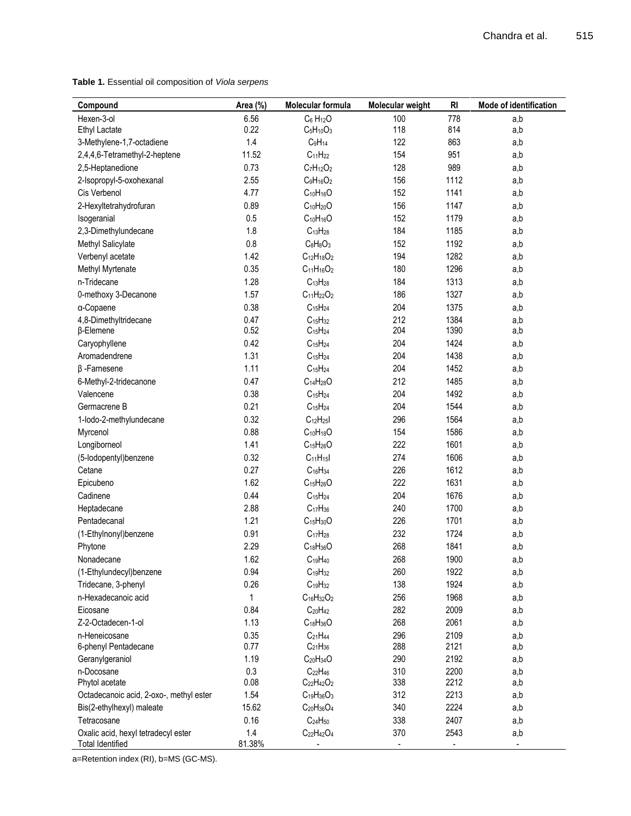**Table 1.** Essential oil composition of *Viola serpens*

| Compound                                                       | Area (%)      | Molecular formula                              | Molecular weight | <b>RI</b> | Mode of identification |
|----------------------------------------------------------------|---------------|------------------------------------------------|------------------|-----------|------------------------|
| Hexen-3-ol                                                     | 6.56          | $C_6$ H <sub>12</sub> O                        | 100              | 778       | a,b                    |
| <b>Ethyl Lactate</b>                                           | 0.22          | $C5H10O3$                                      | 118              | 814       | a,b                    |
| 3-Methylene-1,7-octadiene                                      | 1.4           | $C_9H_{14}$                                    | 122              | 863       | a,b                    |
| 2,4,4,6-Tetramethyl-2-heptene                                  | 11.52         | $C_{11}H_{22}$                                 | 154              | 951       | a,b                    |
| 2,5-Heptanedione                                               | 0.73          | $C_7H_{12}O_2$                                 | 128              | 989       | a,b                    |
| 2-Isopropyl-5-oxohexanal                                       | 2.55          | $C_9H_{16}O_2$                                 | 156              | 1112      | a,b                    |
| Cis Verbenol                                                   | 4.77          | $C_{10}H_{16}O$                                | 152              | 1141      | a,b                    |
| 2-Hexyltetrahydrofuran                                         | 0.89          | $C_{10}H_{20}O$                                | 156              | 1147      | a,b                    |
| Isogeranial                                                    | 0.5           | $C_{10}H_{16}O$                                | 152              | 1179      | a,b                    |
| 2,3-Dimethylundecane                                           | 1.8           | $C_{13}H_{28}$                                 | 184              | 1185      | a,b                    |
| Methyl Salicylate                                              | 0.8           | $C_8H_8O_3$                                    | 152              | 1192      | a,b                    |
| Verbenyl acetate                                               | 1.42          | $C_{12}H_{18}O_2$                              | 194              | 1282      | a,b                    |
| Methyl Myrtenate                                               | 0.35          | $C_{11}H_{16}O_2$                              | 180              | 1296      | a,b                    |
| n-Tridecane                                                    | 1.28          | $C_{13}H_{28}$                                 | 184              | 1313      | a,b                    |
| 0-methoxy 3-Decanone                                           | 1.57          | $C_{11}H_{22}O_2$                              | 186              | 1327      | a,b                    |
| a-Copaene                                                      | 0.38          | $C_{15}H_{24}$                                 | 204              | 1375      | a,b                    |
| 4,8-Dimethyltridecane                                          | 0.47          | $C_{15}H_{32}$                                 | 212              | 1384      | a,b                    |
| β-Elemene                                                      | 0.52          | $C_{15}H_{24}$                                 | 204              | 1390      | a,b                    |
| Caryophyllene                                                  | 0.42          | $C_{15}H_{24}$                                 | 204              | 1424      | a,b                    |
| Aromadendrene                                                  | 1.31          | C <sub>15</sub> H <sub>24</sub>                | 204              | 1438      | a,b                    |
| $\beta$ -Farnesene                                             | 1.11          | $C_{15}H_{24}$                                 | 204              | 1452      | a,b                    |
| 6-Methyl-2-tridecanone                                         | 0.47          | C <sub>14</sub> H <sub>28</sub> O              | 212              | 1485      | a,b                    |
| Valencene                                                      | 0.38          | $C_{15}H_{24}$                                 | 204              | 1492      | a,b                    |
| Germacrene B                                                   | 0.21          | C <sub>15</sub> H <sub>24</sub>                | 204              | 1544      | a,b                    |
| 1-lodo-2-methylundecane                                        | 0.32          | C <sub>12</sub> H <sub>25</sub> I              | 296              | 1564      | a,b                    |
| Myrcenol                                                       | 0.88          | $C_{10}H_{18}O$                                | 154              | 1586      | a,b                    |
| Longiborneol                                                   | 1.41          | C <sub>15</sub> H <sub>26</sub> O              | 222              | 1601      | a,b                    |
| (5-lodopentyl)benzene                                          | 0.32          | C <sub>11</sub> H <sub>15</sub> I              | 274              | 1606      | a,b                    |
| Cetane                                                         | 0.27          | $C_{16}H_{34}$                                 | 226              | 1612      | a,b                    |
| Epicubeno                                                      | 1.62          | $C_{15}H_{26}O$                                | 222              | 1631      | a,b                    |
| Cadinene                                                       | 0.44          | $C_{15}H_{24}$                                 | 204              | 1676      | a,b                    |
| Heptadecane                                                    | 2.88          | $C_{17}H_{36}$                                 | 240              | 1700      | a,b                    |
| Pentadecanal                                                   | 1.21          | $C_{15}H_{30}O$                                | 226              | 1701      | a,b                    |
| (1-Ethylnonyl)benzene                                          | 0.91          | $C_{17}H_{28}$                                 | 232              | 1724      | a,b                    |
| Phytone                                                        | 2.29          | $C_{18}H_{36}O$                                | 268              | 1841      | a,b                    |
| Nonadecane                                                     | 1.62          | C <sub>19</sub> H <sub>40</sub>                | 268              | 1900      | a,b                    |
| (1-Ethylundecyl)benzene                                        | 0.94          | C <sub>19</sub> H <sub>32</sub>                | 260              | 1922      | a,b                    |
| Tridecane, 3-phenyl                                            | 0.26          | $C_{19}H_{32}$                                 | 138              | 1924      | a,b                    |
| n-Hexadecanoic acid                                            | 1             | $C_{16}H_{32}O_2$                              | 256              | 1968      | a,b                    |
| Eicosane                                                       | 0.84          | $C_{20}H_{42}$                                 | 282              | 2009      | a,b                    |
| Z-2-Octadecen-1-ol                                             | 1.13          | $C_{18}H_{36}O$                                | 268              | 2061      | a,b                    |
| n-Heneicosane                                                  | 0.35          | $C_{21}H_{44}$                                 | 296              | 2109      | a,b                    |
| 6-phenyl Pentadecane                                           | 0.77          | $C_{21}H_{36}$                                 | 288              | 2121      | a,b                    |
| Geranylgeraniol                                                | 1.19          | $C_{20}H_{34}O$                                | 290              | 2192      | a,b                    |
| n-Docosane                                                     | 0.3           | $C_{22}H_{46}$                                 | 310              | 2200      | a,b                    |
| Phytol acetate                                                 | 0.08          | $C_{22}H_{42}O_2$                              | 338              | 2212      | a,b                    |
| Octadecanoic acid, 2-oxo-, methyl ester                        | 1.54          | C <sub>19</sub> H <sub>36</sub> O <sub>3</sub> | 312              | 2213      | a,b                    |
| Bis(2-ethylhexyl) maleate                                      | 15.62         | C <sub>20</sub> H <sub>36</sub> O <sub>4</sub> | 340              | 2224      | a,b                    |
| Tetracosane                                                    | 0.16          | C <sub>24</sub> H <sub>50</sub>                | 338              | 2407      | a,b                    |
| Oxalic acid, hexyl tetradecyl ester<br><b>Total Identified</b> | 1.4<br>81.38% | C <sub>22</sub> H <sub>42</sub> O <sub>4</sub> | 370              | 2543      | a,b                    |

a=Retention index (RI), b=MS (GC-MS).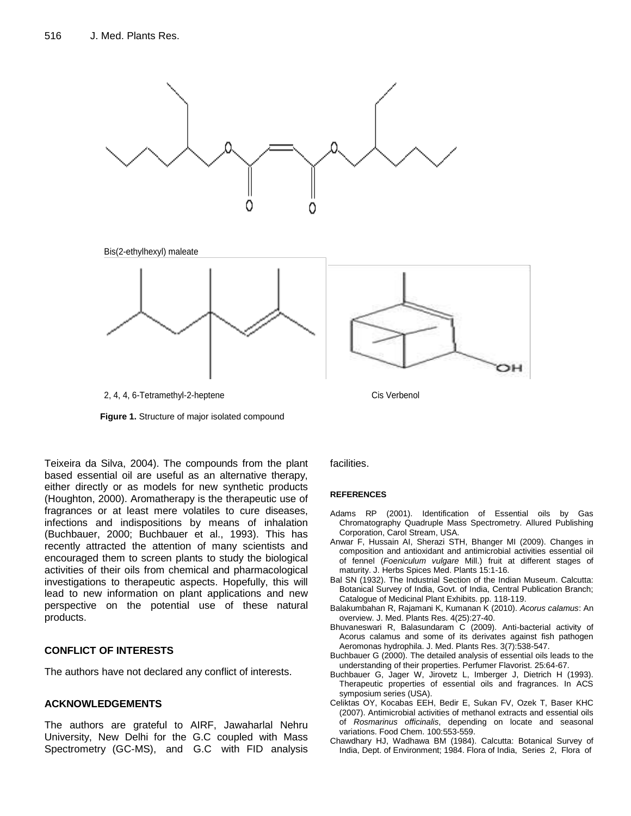

2, 4, 4, 6-Tetramethyl-2-heptene Cis Verbenol

**Figure 1.** Structure of major isolated compound

Teixeira da Silva, 2004). The compounds from the plant based essential oil are useful as an alternative therapy, either directly or as models for new synthetic products (Houghton, 2000). Aromatherapy is the therapeutic use of fragrances or at least mere volatiles to cure diseases, infections and indispositions by means of inhalation (Buchbauer, 2000; Buchbauer et al., 1993). This has recently attracted the attention of many scientists and encouraged them to screen plants to study the biological activities of their oils from chemical and pharmacological investigations to therapeutic aspects. Hopefully, this will lead to new information on plant applications and new perspective on the potential use of these natural products.

#### **CONFLICT OF INTERESTS**

The authors have not declared any conflict of interests.

#### **ACKNOWLEDGEMENTS**

The authors are grateful to AIRF, Jawaharlal Nehru University, New Delhi for the G.C coupled with Mass Spectrometry (GC-MS), and G.C with FID analysis facilities.

#### **REFERENCES**

- Adams RP (2001). Identification of Essential oils by Gas Chromatography Quadruple Mass Spectrometry. Allured Publishing Corporation, Carol Stream, USA.
- Anwar F, Hussain AI, Sherazi STH, Bhanger MI (2009). Changes in composition and antioxidant and antimicrobial activities essential oil of fennel (*Foeniculum vulgare* Mill.) fruit at different stages of maturity. J. Herbs Spices Med. Plants 15:1-16.
- Bal SN (1932). The Industrial Section of the Indian Museum. Calcutta: Botanical Survey of India, Govt. of India, Central Publication Branch; Catalogue of Medicinal Plant Exhibits. pp. 118-119.
- Balakumbahan R, Rajamani K, Kumanan K (2010). *Acorus calamus*: An overview. J. Med. Plants Res. 4(25):27-40.
- Bhuvaneswari R, Balasundaram C (2009). Anti-bacterial activity of Acorus calamus and some of its derivates against fish pathogen Aeromonas hydrophila. J. Med. Plants Res. 3(7):538-547.
- Buchbauer G (2000). The detailed analysis of essential oils leads to the understanding of their properties. Perfumer Flavorist. 25:64-67.
- Buchbauer G, Jager W, Jirovetz L, Imberger J, Dietrich H (1993). Therapeutic properties of essential oils and fragrances. In ACS symposium series (USA).
- Celiktas OY, Kocabas EEH, Bedir E, Sukan FV, Ozek T, Baser KHC (2007). Antimicrobial activities of methanol extracts and essential oils of *Rosmarinus officinalis*, depending on locate and seasonal variations. Food Chem. 100:553-559.
- Chawdhary HJ, Wadhawa BM (1984). Calcutta: Botanical Survey of India, Dept. of Environment; 1984. Flora of India, Series 2, Flora of